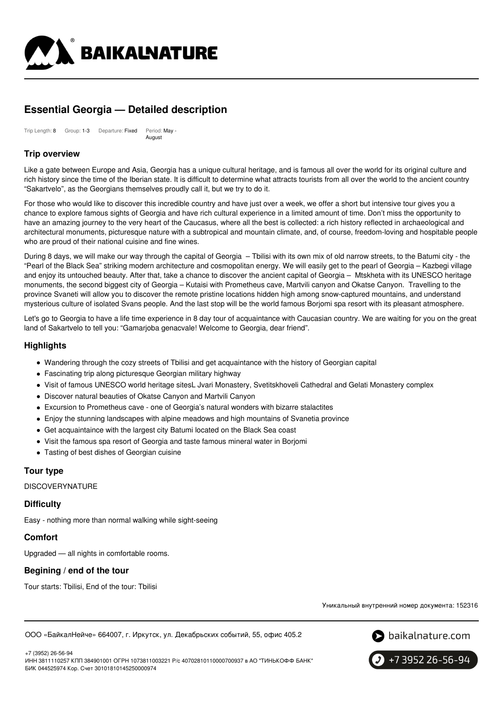

# **Essential Georgia — Detailed description**

Trip Length: 8 Group: 1-3 Departure: Fixed Period: May - August

# **Trip overview**

Like a gate between Europe and Asia, Georgia has a unique cultural heritage, and is famous all over the world for its original culture and rich history since the time of the Iberian state. It is difficult to determine what attracts tourists from all over the world to the ancient country "Sakartvelo", as the Georgians themselves proudly call it, but we try to do it.

For those who would like to discover this incredible country and have just over a week, we offer a short but intensive tour gives you a chance to explore famous sights of Georgia and have rich cultural experience in a limited amount of time. Don't miss the opportunity to have an amazing journey to the very heart of the Caucasus, where all the best is collected: a rich history reflected in archaeological and architectural monuments, picturesque nature with a subtropical and mountain climate, and, of course, freedom-loving and hospitable people who are proud of their national cuisine and fine wines.

During 8 days, we will make our way through the capital of Georgia – Tbilisi with its own mix of old narrow streets, to the Batumi city - the "Pearl of the Black Sea" striking modern architecture and cosmopolitan energy. We will easily get to the pearl of Georgia – Kazbegi village and enjoy its untouched beauty. After that, take a chance to discover the ancient capital of Georgia – Mtskheta with its UNESCO heritage monuments, the second biggest city of Georgia – Kutaisi with Prometheus cave, Martvili canyon and Okatse Canyon. Travelling to the province Svaneti will allow you to discover the remote pristine locations hidden high among snow-captured mountains, and understand mysterious culture of isolated Svans people. And the last stop will be the world famous Borjomi spa resort with its pleasant atmosphere.

Let's go to Georgia to have a life time experience in 8 day tour of acquaintance with Caucasian country. We are waiting for you on the great land of Sakartvelo to tell you: "Gamarjoba genacvale! Welcome to Georgia, dear friend".

# **Highlights**

- Wandering through the cozy streets of Tbilisi and get acquaintance with the history of Georgian capital
- Fascinating trip along picturesque Georgian military highway
- Visit of famous UNESCO world heritage sitesL Jvari Monastery, Svetitskhoveli Cathedral and Gelati Monastery complex
- Discover natural beauties of Okatse Canyon and Martvili Canyon
- Excursion to Prometheus cave one of Georgia's natural wonders with bizarre stalactites
- Enjoy the stunning landscapes with alpine meadows and high mountains of Svanetia province
- Get acquaintaince with the largest city Batumi located on the Black Sea coast
- Visit the famous spa resort of Georgia and taste famous mineral water in Borjomi
- Tasting of best dishes of Georgian cuisine

### **Tour type**

**DISCOVERYNATURE** 

#### **Difficulty**

Easy - nothing more than normal walking while sight-seeing

### **Comfort**

Upgraded — all nights in comfortable rooms.

### **Begining / end of the tour**

Tour starts: Tbilisi, End of the tour: Tbilisi

Уникальный внутренний номер документа: 152316

ООО «БайкалНейче» 664007, г. Иркутск, ул. Декабрьских событий, 55, офис 405.2





+7 3952 26-56-94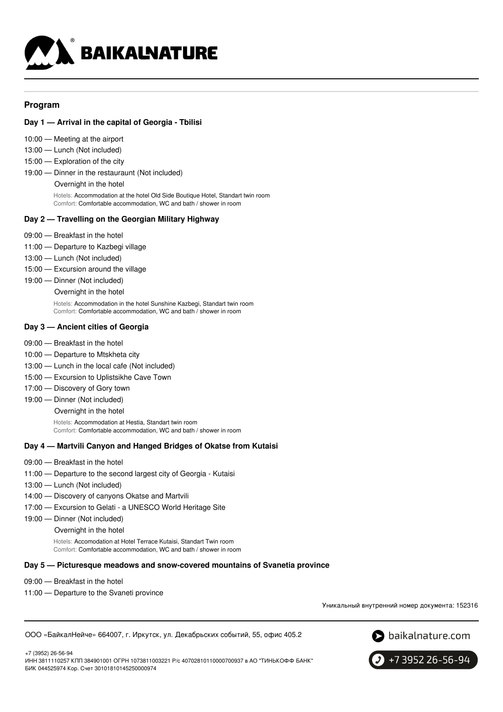

# **Program**

### **Day 1 — Arrival in the capital of Georgia - Tbilisi**

- 10:00 Meeting at the airport
- 13:00 Lunch (Not included)
- 15:00 Exploration of the city
- 19:00 Dinner in the restauraunt (Not included) Overnight in the hotel

Hotels: Accommodation at the hotel Old Side Boutique Hotel, Standart twin room Comfort: Comfortable accommodation, WC and bath / shower in room

### **Day 2 — Travelling on the Georgian Military Highway**

- 09:00 Breakfast in the hotel
- 11:00 Departure to Kazbegi village
- 13:00 Lunch (Not included)
- 15:00 Excursion around the village
- 19:00 Dinner (Not included) Overnight in the hotel Hotels: Accommodation in the hotel Sunshine Kazbegi, Standart twin room

Comfort: Comfortable accommodation, WC and bath / shower in room

# **Day 3 — Ancient cities of Georgia**

- 09:00 Breakfast in the hotel
- 10:00 Departure to Mtskheta city
- 13:00 Lunch in the local cafe (Not included)
- 15:00 Excursion to Uplistsikhe Cave Town
- 17:00 Discovery of Gory town
- 19:00 Dinner (Not included)
	- Overnight in the hotel

Hotels: Accommodation at Hestia, Standart twin room Comfort: Comfortable accommodation, WC and bath / shower in room

### **Day 4 — Martvili Canyon and Hanged Bridges of Okatse from Kutaisi**

- 09:00 Breakfast in the hotel
- 11:00 Departure to the second largest city of Georgia Kutaisi
- 13:00 Lunch (Not included)
- 14:00 Discovery of canyons Okatse and Martvili
- 17:00 Excursion to Gelati a UNESCO World Heritage Site
- 19:00 Dinner (Not included)
	- Overnight in the hotel

Hotels: Accomodation at Hotel Terrace Kutaisi, Standart Twin room Comfort: Comfortable accommodation, WC and bath / shower in room

#### **Day 5 — Picturesque meadows and snow-covered mountains of Svanetia province**

- 09:00 Breakfast in the hotel
- 11:00 Departure to the Svaneti province

Уникальный внутренний номер документа: 152316

ООО «БайкалНейче» 664007, г. Иркутск, ул. Декабрьских событий, 55, офис 405.2



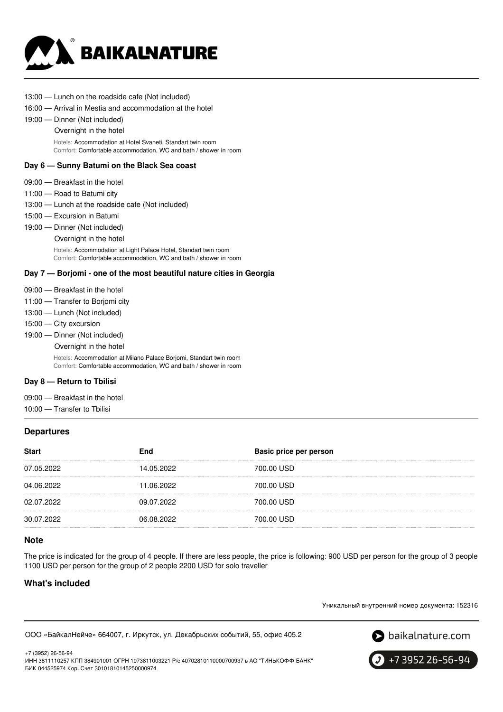

- 13:00 Lunch on the roadside cafe (Not included)
- 16:00 Arrival in Mestia and accommodation at the hotel
- 19:00 Dinner (Not included)
	- Overnight in the hotel

Hotels: Accommodation at Hotel Svaneti, Standart twin room Comfort: Comfortable accommodation, WC and bath / shower in room

#### **Day 6 — Sunny Batumi on the Black Sea coast**

- 09:00 Breakfast in the hotel
- 11:00 Road to Batumi city
- 13:00 Lunch at the roadside cafe (Not included)
- 15:00 Excursion in Batumi
- 19:00 Dinner (Not included)
	- Overnight in the hotel

Hotels: Accommodation at Light Palace Hotel, Standart twin room Comfort: Comfortable accommodation, WC and bath / shower in room

### **Day 7 — Borjomi - one of the most beautiful nature cities in Georgia**

- 09:00 Breakfast in the hotel
- 11:00 Transfer to Borjomi city
- 13:00 Lunch (Not included)
- 15:00 City excursion
- 19:00 Dinner (Not included)
	- Overnight in the hotel

Hotels: Accommodation at Milano Palace Borjomi, Standart twin room Comfort: Comfortable accommodation, WC and bath / shower in room

#### **Day 8 — Return to Tbilisi**

- 09:00 Breakfast in the hotel
- 10:00 Transfer to Tbilisi

### **Departures**

| <b>Start</b> | End        | Basic price per person |
|--------------|------------|------------------------|
| 07.05.2022   | 14.05.2022 | 700.00 USD             |
| 04.06.2022   | 11.06.2022 | 700.00 USD             |
| 02.07.2022   | 09.07.2022 | 700.00 USD             |
| 30.07.2022   | 06.08.2022 | 700.00 USD             |

### **Note**

The price is indicated for the group of 4 people. If there are less people, the price is following: 900 USD per person for the group of 3 people 1100 USD per person for the group of 2 people 2200 USD for solo traveller

# **What's included**

+7 (3952) 26-56-94

Уникальный внутренний номер документа: 152316

ООО «БайкалНейче» 664007, г. Иркутск, ул. Декабрьских событий, 55, офис 405.2





ИНН 3811110257 КПП 384901001 ОГРН 1073811003221 Р/с 40702810110000700937 в АО "ТИНЬКОФФ БАНК" БИК 044525974 Кор. Счет 30101810145250000974